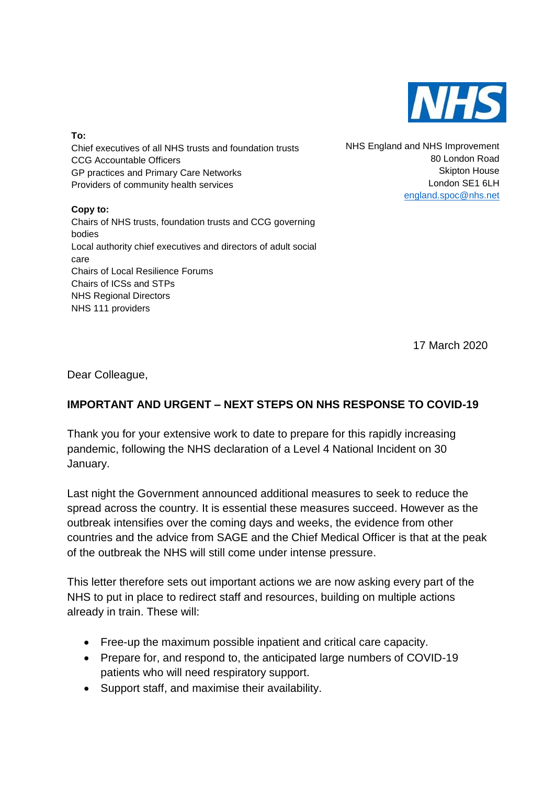

#### **To:**

Chief executives of all NHS trusts and foundation trusts CCG Accountable Officers GP practices and Primary Care Networks Providers of community health services

#### **Copy to:**

Chairs of NHS trusts, foundation trusts and CCG governing bodies Local authority chief executives and directors of adult social care Chairs of Local Resilience Forums Chairs of ICSs and STPs NHS Regional Directors NHS 111 providers

NHS England and NHS Improvement 80 London Road Skipton House London SE1 6LH [england.spoc@nhs.net](mailto:england.spoc@nhs.net)

17 March 2020

Dear Colleague,

### **IMPORTANT AND URGENT – NEXT STEPS ON NHS RESPONSE TO COVID-19**

Thank you for your extensive work to date to prepare for this rapidly increasing pandemic, following the NHS declaration of a Level 4 National Incident on 30 January.

Last night the Government announced additional measures to seek to reduce the spread across the country. It is essential these measures succeed. However as the outbreak intensifies over the coming days and weeks, the evidence from other countries and the advice from SAGE and the Chief Medical Officer is that at the peak of the outbreak the NHS will still come under intense pressure.

This letter therefore sets out important actions we are now asking every part of the NHS to put in place to redirect staff and resources, building on multiple actions already in train. These will:

- Free-up the maximum possible inpatient and critical care capacity.
- Prepare for, and respond to, the anticipated large numbers of COVID-19 patients who will need respiratory support.
- Support staff, and maximise their availability.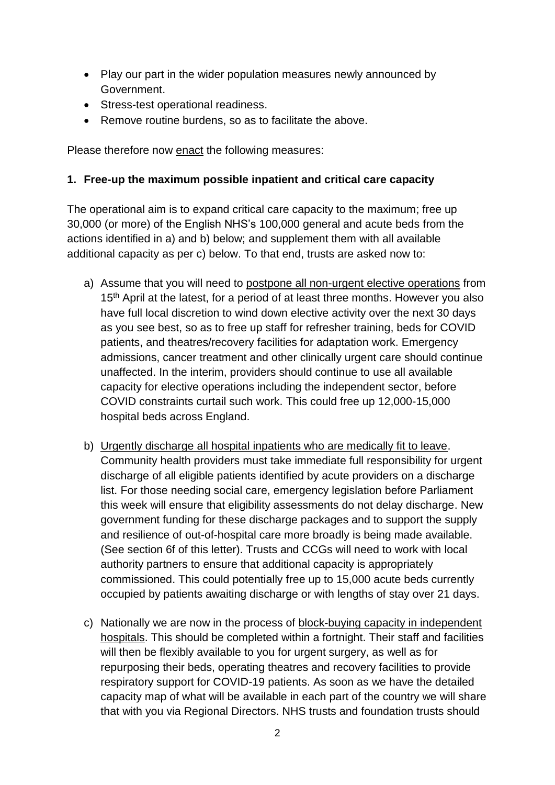- Play our part in the wider population measures newly announced by Government.
- Stress-test operational readiness.
- Remove routine burdens, so as to facilitate the above.

Please therefore now enact the following measures:

## **1. Free-up the maximum possible inpatient and critical care capacity**

The operational aim is to expand critical care capacity to the maximum; free up 30,000 (or more) of the English NHS's 100,000 general and acute beds from the actions identified in a) and b) below; and supplement them with all available additional capacity as per c) below. To that end, trusts are asked now to:

- a) Assume that you will need to postpone all non-urgent elective operations from 15<sup>th</sup> April at the latest, for a period of at least three months. However you also have full local discretion to wind down elective activity over the next 30 days as you see best, so as to free up staff for refresher training, beds for COVID patients, and theatres/recovery facilities for adaptation work. Emergency admissions, cancer treatment and other clinically urgent care should continue unaffected. In the interim, providers should continue to use all available capacity for elective operations including the independent sector, before COVID constraints curtail such work. This could free up 12,000-15,000 hospital beds across England.
- b) Urgently discharge all hospital inpatients who are medically fit to leave. Community health providers must take immediate full responsibility for urgent discharge of all eligible patients identified by acute providers on a discharge list. For those needing social care, emergency legislation before Parliament this week will ensure that eligibility assessments do not delay discharge. New government funding for these discharge packages and to support the supply and resilience of out-of-hospital care more broadly is being made available. (See section 6f of this letter). Trusts and CCGs will need to work with local authority partners to ensure that additional capacity is appropriately commissioned. This could potentially free up to 15,000 acute beds currently occupied by patients awaiting discharge or with lengths of stay over 21 days.
- c) Nationally we are now in the process of block-buying capacity in independent hospitals. This should be completed within a fortnight. Their staff and facilities will then be flexibly available to you for urgent surgery, as well as for repurposing their beds, operating theatres and recovery facilities to provide respiratory support for COVID-19 patients. As soon as we have the detailed capacity map of what will be available in each part of the country we will share that with you via Regional Directors. NHS trusts and foundation trusts should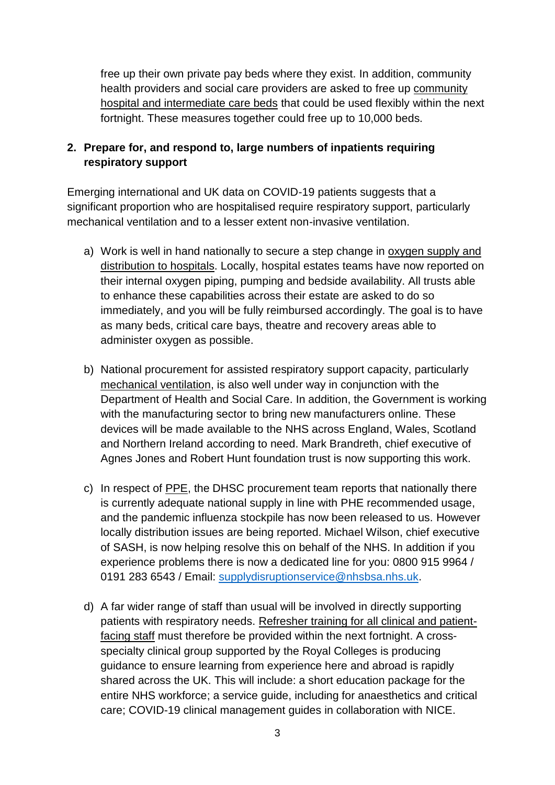free up their own private pay beds where they exist. In addition, community health providers and social care providers are asked to free up community hospital and intermediate care beds that could be used flexibly within the next fortnight. These measures together could free up to 10,000 beds.

## **2. Prepare for, and respond to, large numbers of inpatients requiring respiratory support**

Emerging international and UK data on COVID-19 patients suggests that a significant proportion who are hospitalised require respiratory support, particularly mechanical ventilation and to a lesser extent non-invasive ventilation.

- a) Work is well in hand nationally to secure a step change in oxygen supply and distribution to hospitals. Locally, hospital estates teams have now reported on their internal oxygen piping, pumping and bedside availability. All trusts able to enhance these capabilities across their estate are asked to do so immediately, and you will be fully reimbursed accordingly. The goal is to have as many beds, critical care bays, theatre and recovery areas able to administer oxygen as possible.
- b) National procurement for assisted respiratory support capacity, particularly mechanical ventilation, is also well under way in conjunction with the Department of Health and Social Care. In addition, the Government is working with the manufacturing sector to bring new manufacturers online. These devices will be made available to the NHS across England, Wales, Scotland and Northern Ireland according to need. Mark Brandreth, chief executive of Agnes Jones and Robert Hunt foundation trust is now supporting this work.
- c) In respect of PPE, the DHSC procurement team reports that nationally there is currently adequate national supply in line with PHE recommended usage, and the pandemic influenza stockpile has now been released to us. However locally distribution issues are being reported. Michael Wilson, chief executive of SASH, is now helping resolve this on behalf of the NHS. In addition if you experience problems there is now a dedicated line for you: 0800 915 9964 / 0191 283 6543 / Email: [supplydisruptionservice@nhsbsa.nhs.uk.](mailto:supplydisruptionservice@nhsbsa.nhs.uk)
- d) A far wider range of staff than usual will be involved in directly supporting patients with respiratory needs. Refresher training for all clinical and patientfacing staff must therefore be provided within the next fortnight. A crossspecialty clinical group supported by the Royal Colleges is producing guidance to ensure learning from experience here and abroad is rapidly shared across the UK. This will include: a short education package for the entire NHS workforce; a service guide, including for anaesthetics and critical care; COVID-19 clinical management guides in collaboration with NICE.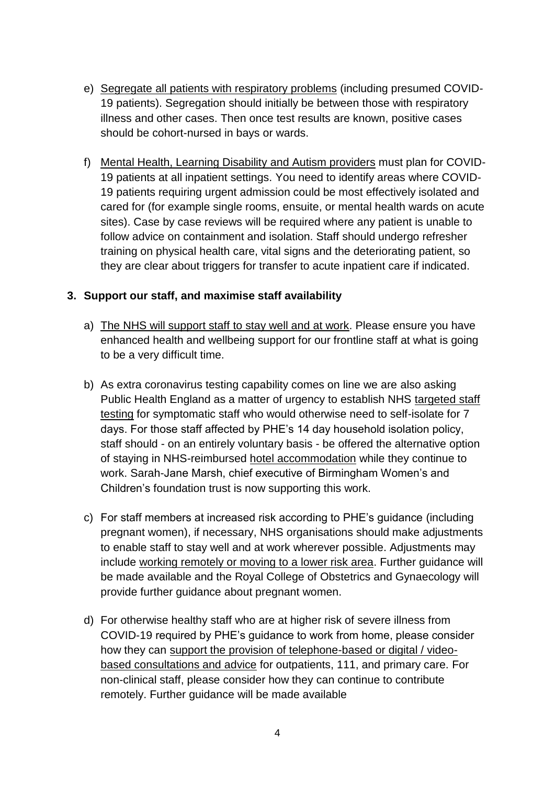- e) Segregate all patients with respiratory problems (including presumed COVID-19 patients). Segregation should initially be between those with respiratory illness and other cases. Then once test results are known, positive cases should be cohort-nursed in bays or wards.
- f) Mental Health, Learning Disability and Autism providers must plan for COVID-19 patients at all inpatient settings. You need to identify areas where COVID-19 patients requiring urgent admission could be most effectively isolated and cared for (for example single rooms, ensuite, or mental health wards on acute sites). Case by case reviews will be required where any patient is unable to follow advice on containment and isolation. Staff should undergo refresher training on physical health care, vital signs and the deteriorating patient, so they are clear about triggers for transfer to acute inpatient care if indicated.

#### **3. Support our staff, and maximise staff availability**

- a) The NHS will support staff to stay well and at work. Please ensure you have enhanced health and wellbeing support for our frontline staff at what is going to be a very difficult time.
- b) As extra coronavirus testing capability comes on line we are also asking Public Health England as a matter of urgency to establish NHS targeted staff testing for symptomatic staff who would otherwise need to self-isolate for 7 days. For those staff affected by PHE's 14 day household isolation policy, staff should - on an entirely voluntary basis - be offered the alternative option of staying in NHS-reimbursed hotel accommodation while they continue to work. Sarah-Jane Marsh, chief executive of Birmingham Women's and Children's foundation trust is now supporting this work.
- c) For staff members at increased risk according to PHE's guidance (including pregnant women), if necessary, NHS organisations should make adjustments to enable staff to stay well and at work wherever possible. Adjustments may include working remotely or moving to a lower risk area. Further guidance will be made available and the Royal College of Obstetrics and Gynaecology will provide further guidance about pregnant women.
- d) For otherwise healthy staff who are at higher risk of severe illness from COVID-19 required by PHE's guidance to work from home, please consider how they can support the provision of telephone-based or digital / videobased consultations and advice for outpatients, 111, and primary care. For non-clinical staff, please consider how they can continue to contribute remotely. Further guidance will be made available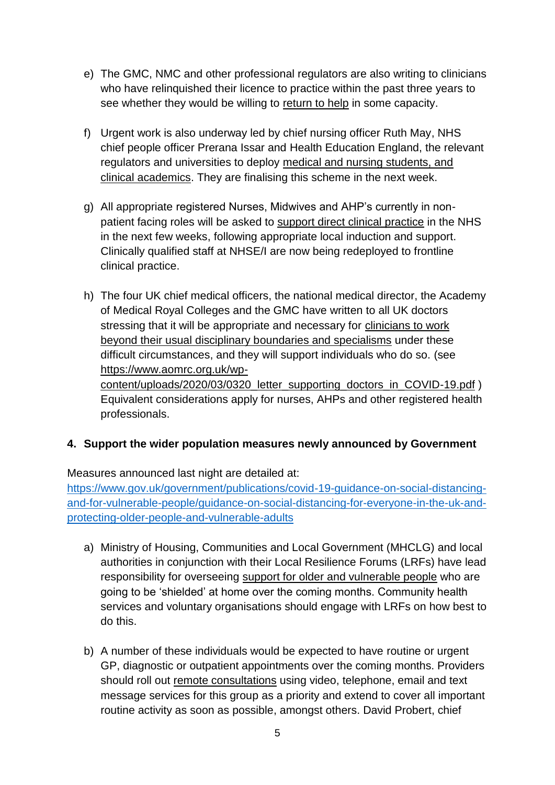- e) The GMC, NMC and other professional regulators are also writing to clinicians who have relinquished their licence to practice within the past three years to see whether they would be willing to return to help in some capacity.
- f) Urgent work is also underway led by chief nursing officer Ruth May, NHS chief people officer Prerana Issar and Health Education England, the relevant regulators and universities to deploy medical and nursing students, and clinical academics. They are finalising this scheme in the next week.
- g) All appropriate registered Nurses, Midwives and AHP's currently in nonpatient facing roles will be asked to support direct clinical practice in the NHS in the next few weeks, following appropriate local induction and support. Clinically qualified staff at NHSE/I are now being redeployed to frontline clinical practice.
- h) The four UK chief medical officers, the national medical director, the Academy of Medical Royal Colleges and the GMC have written to all UK doctors stressing that it will be appropriate and necessary for clinicians to work beyond their usual disciplinary boundaries and specialisms under these difficult circumstances, and they will support individuals who do so. (see [https://www.aomrc.org.uk/wp](https://www.aomrc.org.uk/wp-content/uploads/2020/03/0320_letter_supporting_doctors_in_COVID-19.pdf)[content/uploads/2020/03/0320\\_letter\\_supporting\\_doctors\\_in\\_COVID-19.pdf](https://www.aomrc.org.uk/wp-content/uploads/2020/03/0320_letter_supporting_doctors_in_COVID-19.pdf) ) Equivalent considerations apply for nurses, AHPs and other registered health professionals.

### **4. Support the wider population measures newly announced by Government**

Measures announced last night are detailed at: [https://www.gov.uk/government/publications/covid-19-guidance-on-social-distancing](https://www.gov.uk/government/publications/covid-19-guidance-on-social-distancing-and-for-vulnerable-people/guidance-on-social-distancing-for-everyone-in-the-uk-and-protecting-older-people-and-vulnerable-adults)[and-for-vulnerable-people/guidance-on-social-distancing-for-everyone-in-the-uk-and](https://www.gov.uk/government/publications/covid-19-guidance-on-social-distancing-and-for-vulnerable-people/guidance-on-social-distancing-for-everyone-in-the-uk-and-protecting-older-people-and-vulnerable-adults)[protecting-older-people-and-vulnerable-adults](https://www.gov.uk/government/publications/covid-19-guidance-on-social-distancing-and-for-vulnerable-people/guidance-on-social-distancing-for-everyone-in-the-uk-and-protecting-older-people-and-vulnerable-adults)

- a) Ministry of Housing, Communities and Local Government (MHCLG) and local authorities in conjunction with their Local Resilience Forums (LRFs) have lead responsibility for overseeing support for older and vulnerable people who are going to be 'shielded' at home over the coming months. Community health services and voluntary organisations should engage with LRFs on how best to do this.
- b) A number of these individuals would be expected to have routine or urgent GP, diagnostic or outpatient appointments over the coming months. Providers should roll out remote consultations using video, telephone, email and text message services for this group as a priority and extend to cover all important routine activity as soon as possible, amongst others. David Probert, chief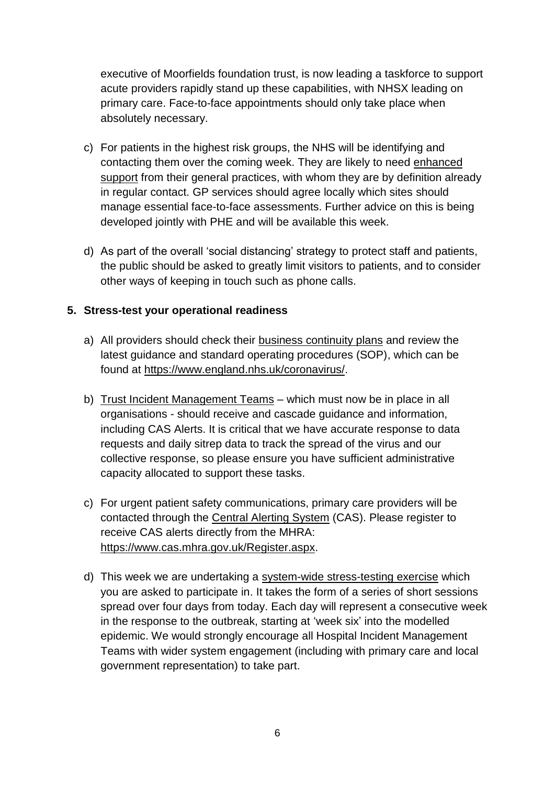executive of Moorfields foundation trust, is now leading a taskforce to support acute providers rapidly stand up these capabilities, with NHSX leading on primary care. Face-to-face appointments should only take place when absolutely necessary.

- c) For patients in the highest risk groups, the NHS will be identifying and contacting them over the coming week. They are likely to need enhanced support from their general practices, with whom they are by definition already in regular contact. GP services should agree locally which sites should manage essential face-to-face assessments. Further advice on this is being developed jointly with PHE and will be available this week.
- d) As part of the overall 'social distancing' strategy to protect staff and patients, the public should be asked to greatly limit visitors to patients, and to consider other ways of keeping in touch such as phone calls.

## **5. Stress-test your operational readiness**

- a) All providers should check their business continuity plans and review the latest guidance and standard operating procedures (SOP), which can be found at [https://www.england.nhs.uk/coronavirus/.](https://www.england.nhs.uk/coronavirus/primary-care/)
- b) Trust Incident Management Teams which must now be in place in all organisations - should receive and cascade guidance and information, including CAS Alerts. It is critical that we have accurate response to data requests and daily sitrep data to track the spread of the virus and our collective response, so please ensure you have sufficient administrative capacity allocated to support these tasks.
- c) For urgent patient safety communications, primary care providers will be contacted through the Central Alerting System (CAS). Please register to receive CAS alerts directly from the MHRA: [https://www.cas.mhra.gov.uk/Register.aspx.](https://www.cas.mhra.gov.uk/Register.aspx)
- d) This week we are undertaking a system-wide stress-testing exercise which you are asked to participate in. It takes the form of a series of short sessions spread over four days from today. Each day will represent a consecutive week in the response to the outbreak, starting at 'week six' into the modelled epidemic. We would strongly encourage all Hospital Incident Management Teams with wider system engagement (including with primary care and local government representation) to take part.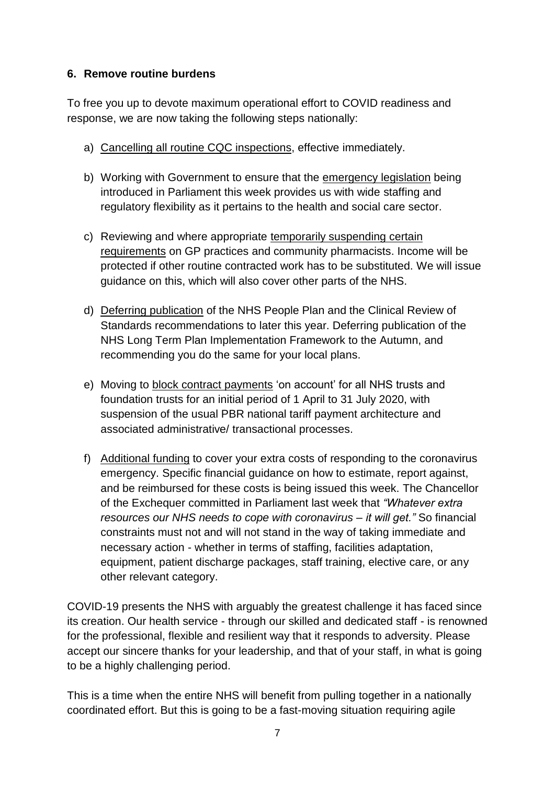## **6. Remove routine burdens**

To free you up to devote maximum operational effort to COVID readiness and response, we are now taking the following steps nationally:

- a) Cancelling all routine CQC inspections, effective immediately.
- b) Working with Government to ensure that the emergency legislation being introduced in Parliament this week provides us with wide staffing and regulatory flexibility as it pertains to the health and social care sector.
- c) Reviewing and where appropriate temporarily suspending certain requirements on GP practices and community pharmacists. Income will be protected if other routine contracted work has to be substituted. We will issue guidance on this, which will also cover other parts of the NHS.
- d) Deferring publication of the NHS People Plan and the Clinical Review of Standards recommendations to later this year. Deferring publication of the NHS Long Term Plan Implementation Framework to the Autumn, and recommending you do the same for your local plans.
- e) Moving to block contract payments 'on account' for all NHS trusts and foundation trusts for an initial period of 1 April to 31 July 2020, with suspension of the usual PBR national tariff payment architecture and associated administrative/ transactional processes.
- f) Additional funding to cover your extra costs of responding to the coronavirus emergency. Specific financial guidance on how to estimate, report against, and be reimbursed for these costs is being issued this week. The Chancellor of the Exchequer committed in Parliament last week that *"Whatever extra resources our NHS needs to cope with coronavirus – it will get."* So financial constraints must not and will not stand in the way of taking immediate and necessary action - whether in terms of staffing, facilities adaptation, equipment, patient discharge packages, staff training, elective care, or any other relevant category.

COVID-19 presents the NHS with arguably the greatest challenge it has faced since its creation. Our health service - through our skilled and dedicated staff - is renowned for the professional, flexible and resilient way that it responds to adversity. Please accept our sincere thanks for your leadership, and that of your staff, in what is going to be a highly challenging period.

This is a time when the entire NHS will benefit from pulling together in a nationally coordinated effort. But this is going to be a fast-moving situation requiring agile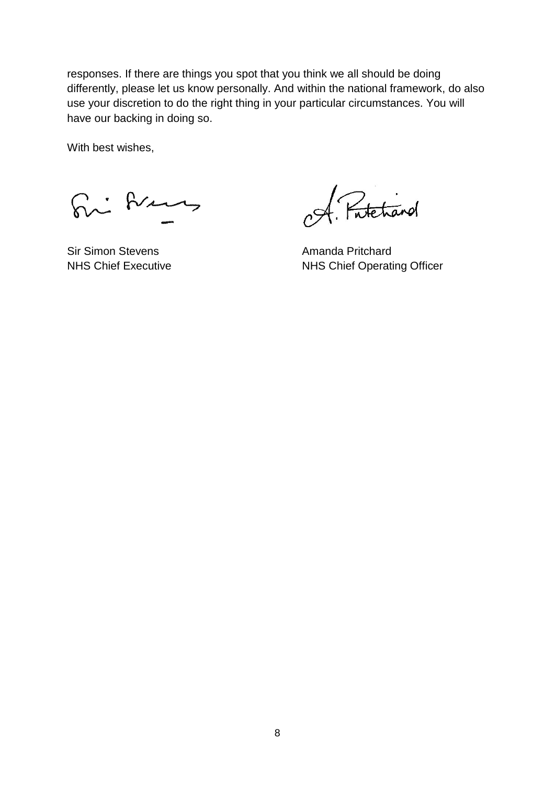responses. If there are things you spot that you think we all should be doing differently, please let us know personally. And within the national framework, do also use your discretion to do the right thing in your particular circumstances. You will have our backing in doing so.

With best wishes,

Fri Euro

Sir Simon Stevens **Amanda Pritchard** 

o.A. Protectional

NHS Chief Executive NHS Chief Operating Officer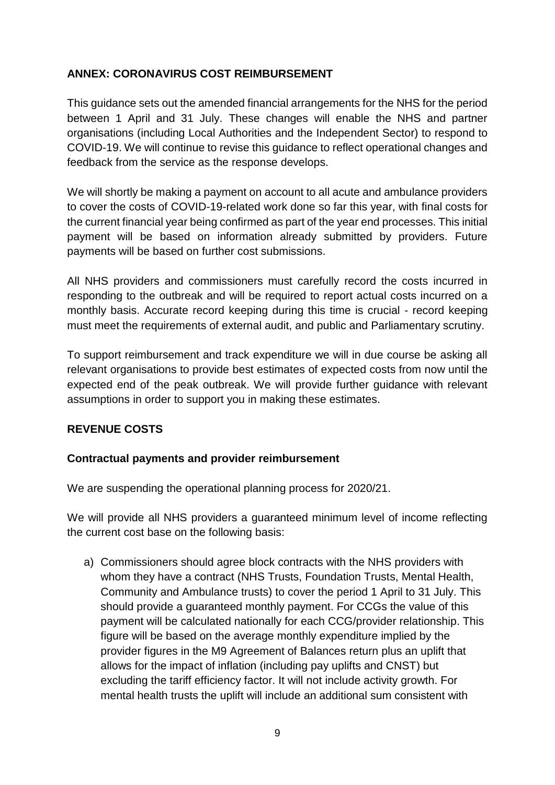## **ANNEX: CORONAVIRUS COST REIMBURSEMENT**

This guidance sets out the amended financial arrangements for the NHS for the period between 1 April and 31 July. These changes will enable the NHS and partner organisations (including Local Authorities and the Independent Sector) to respond to COVID-19. We will continue to revise this guidance to reflect operational changes and feedback from the service as the response develops.

We will shortly be making a payment on account to all acute and ambulance providers to cover the costs of COVID-19-related work done so far this year, with final costs for the current financial year being confirmed as part of the year end processes. This initial payment will be based on information already submitted by providers. Future payments will be based on further cost submissions.

All NHS providers and commissioners must carefully record the costs incurred in responding to the outbreak and will be required to report actual costs incurred on a monthly basis. Accurate record keeping during this time is crucial - record keeping must meet the requirements of external audit, and public and Parliamentary scrutiny.

To support reimbursement and track expenditure we will in due course be asking all relevant organisations to provide best estimates of expected costs from now until the expected end of the peak outbreak. We will provide further guidance with relevant assumptions in order to support you in making these estimates.

# **REVENUE COSTS**

### **Contractual payments and provider reimbursement**

We are suspending the operational planning process for 2020/21.

We will provide all NHS providers a guaranteed minimum level of income reflecting the current cost base on the following basis:

a) Commissioners should agree block contracts with the NHS providers with whom they have a contract (NHS Trusts, Foundation Trusts, Mental Health, Community and Ambulance trusts) to cover the period 1 April to 31 July. This should provide a guaranteed monthly payment. For CCGs the value of this payment will be calculated nationally for each CCG/provider relationship. This figure will be based on the average monthly expenditure implied by the provider figures in the M9 Agreement of Balances return plus an uplift that allows for the impact of inflation (including pay uplifts and CNST) but excluding the tariff efficiency factor. It will not include activity growth. For mental health trusts the uplift will include an additional sum consistent with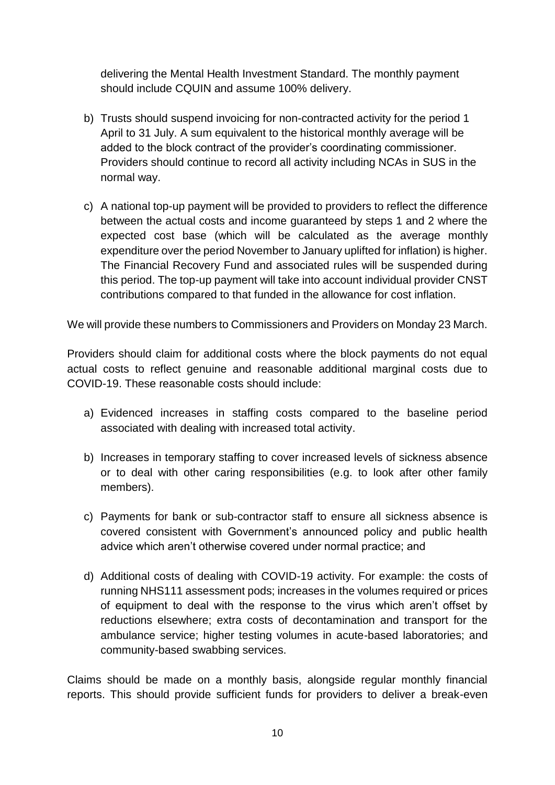delivering the Mental Health Investment Standard. The monthly payment should include CQUIN and assume 100% delivery.

- b) Trusts should suspend invoicing for non-contracted activity for the period 1 April to 31 July. A sum equivalent to the historical monthly average will be added to the block contract of the provider's coordinating commissioner. Providers should continue to record all activity including NCAs in SUS in the normal way.
- c) A national top-up payment will be provided to providers to reflect the difference between the actual costs and income guaranteed by steps 1 and 2 where the expected cost base (which will be calculated as the average monthly expenditure over the period November to January uplifted for inflation) is higher. The Financial Recovery Fund and associated rules will be suspended during this period. The top-up payment will take into account individual provider CNST contributions compared to that funded in the allowance for cost inflation.

We will provide these numbers to Commissioners and Providers on Monday 23 March.

Providers should claim for additional costs where the block payments do not equal actual costs to reflect genuine and reasonable additional marginal costs due to COVID-19. These reasonable costs should include:

- a) Evidenced increases in staffing costs compared to the baseline period associated with dealing with increased total activity.
- b) Increases in temporary staffing to cover increased levels of sickness absence or to deal with other caring responsibilities (e.g. to look after other family members).
- c) Payments for bank or sub-contractor staff to ensure all sickness absence is covered consistent with Government's announced policy and public health advice which aren't otherwise covered under normal practice; and
- d) Additional costs of dealing with COVID-19 activity. For example: the costs of running NHS111 assessment pods; increases in the volumes required or prices of equipment to deal with the response to the virus which aren't offset by reductions elsewhere; extra costs of decontamination and transport for the ambulance service; higher testing volumes in acute-based laboratories; and community-based swabbing services.

Claims should be made on a monthly basis, alongside regular monthly financial reports. This should provide sufficient funds for providers to deliver a break-even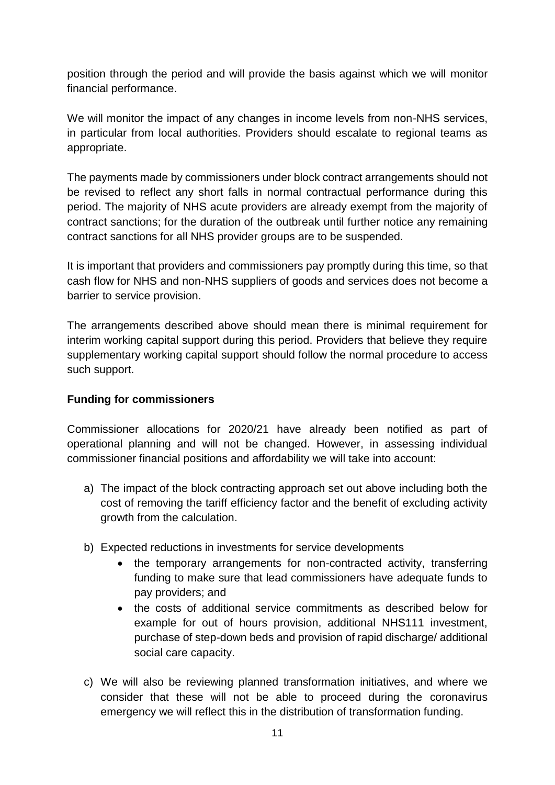position through the period and will provide the basis against which we will monitor financial performance.

We will monitor the impact of any changes in income levels from non-NHS services, in particular from local authorities. Providers should escalate to regional teams as appropriate.

The payments made by commissioners under block contract arrangements should not be revised to reflect any short falls in normal contractual performance during this period. The majority of NHS acute providers are already exempt from the majority of contract sanctions; for the duration of the outbreak until further notice any remaining contract sanctions for all NHS provider groups are to be suspended.

It is important that providers and commissioners pay promptly during this time, so that cash flow for NHS and non-NHS suppliers of goods and services does not become a barrier to service provision.

The arrangements described above should mean there is minimal requirement for interim working capital support during this period. Providers that believe they require supplementary working capital support should follow the normal procedure to access such support.

### **Funding for commissioners**

Commissioner allocations for 2020/21 have already been notified as part of operational planning and will not be changed. However, in assessing individual commissioner financial positions and affordability we will take into account:

- a) The impact of the block contracting approach set out above including both the cost of removing the tariff efficiency factor and the benefit of excluding activity growth from the calculation.
- b) Expected reductions in investments for service developments
	- the temporary arrangements for non-contracted activity, transferring funding to make sure that lead commissioners have adequate funds to pay providers; and
	- the costs of additional service commitments as described below for example for out of hours provision, additional NHS111 investment, purchase of step-down beds and provision of rapid discharge/ additional social care capacity.
- c) We will also be reviewing planned transformation initiatives, and where we consider that these will not be able to proceed during the coronavirus emergency we will reflect this in the distribution of transformation funding.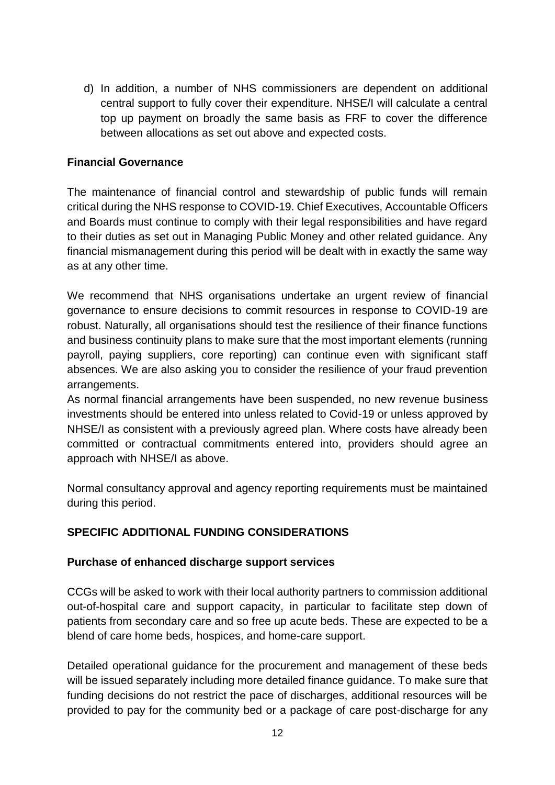d) In addition, a number of NHS commissioners are dependent on additional central support to fully cover their expenditure. NHSE/I will calculate a central top up payment on broadly the same basis as FRF to cover the difference between allocations as set out above and expected costs.

### **Financial Governance**

The maintenance of financial control and stewardship of public funds will remain critical during the NHS response to COVID-19. Chief Executives, Accountable Officers and Boards must continue to comply with their legal responsibilities and have regard to their duties as set out in Managing Public Money and other related guidance. Any financial mismanagement during this period will be dealt with in exactly the same way as at any other time.

We recommend that NHS organisations undertake an urgent review of financial governance to ensure decisions to commit resources in response to COVID-19 are robust. Naturally, all organisations should test the resilience of their finance functions and business continuity plans to make sure that the most important elements (running payroll, paying suppliers, core reporting) can continue even with significant staff absences. We are also asking you to consider the resilience of your fraud prevention arrangements.

As normal financial arrangements have been suspended, no new revenue business investments should be entered into unless related to Covid-19 or unless approved by NHSE/I as consistent with a previously agreed plan. Where costs have already been committed or contractual commitments entered into, providers should agree an approach with NHSE/I as above.

Normal consultancy approval and agency reporting requirements must be maintained during this period.

### **SPECIFIC ADDITIONAL FUNDING CONSIDERATIONS**

#### **Purchase of enhanced discharge support services**

CCGs will be asked to work with their local authority partners to commission additional out-of-hospital care and support capacity, in particular to facilitate step down of patients from secondary care and so free up acute beds. These are expected to be a blend of care home beds, hospices, and home-care support.

Detailed operational guidance for the procurement and management of these beds will be issued separately including more detailed finance guidance. To make sure that funding decisions do not restrict the pace of discharges, additional resources will be provided to pay for the community bed or a package of care post-discharge for any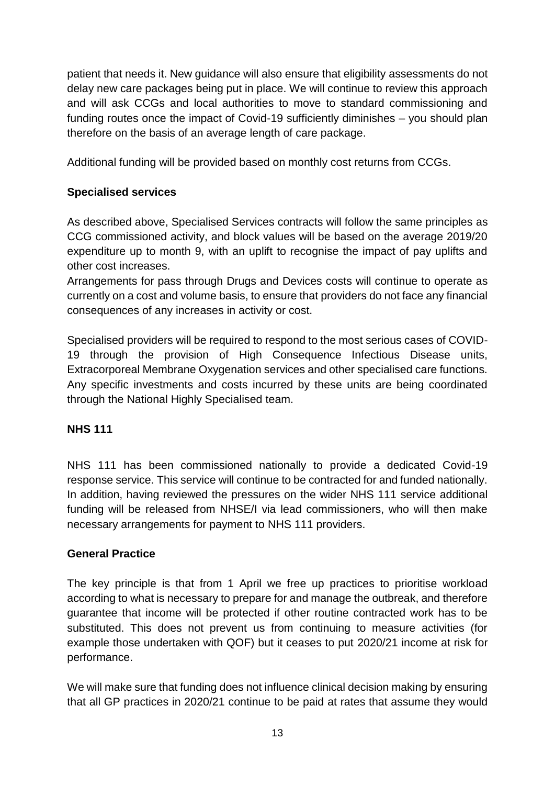patient that needs it. New guidance will also ensure that eligibility assessments do not delay new care packages being put in place. We will continue to review this approach and will ask CCGs and local authorities to move to standard commissioning and funding routes once the impact of Covid-19 sufficiently diminishes – you should plan therefore on the basis of an average length of care package.

Additional funding will be provided based on monthly cost returns from CCGs.

# **Specialised services**

As described above, Specialised Services contracts will follow the same principles as CCG commissioned activity, and block values will be based on the average 2019/20 expenditure up to month 9, with an uplift to recognise the impact of pay uplifts and other cost increases.

Arrangements for pass through Drugs and Devices costs will continue to operate as currently on a cost and volume basis, to ensure that providers do not face any financial consequences of any increases in activity or cost.

Specialised providers will be required to respond to the most serious cases of COVID-19 through the provision of High Consequence Infectious Disease units, Extracorporeal Membrane Oxygenation services and other specialised care functions. Any specific investments and costs incurred by these units are being coordinated through the National Highly Specialised team.

### **NHS 111**

NHS 111 has been commissioned nationally to provide a dedicated Covid-19 response service. This service will continue to be contracted for and funded nationally. In addition, having reviewed the pressures on the wider NHS 111 service additional funding will be released from NHSE/I via lead commissioners, who will then make necessary arrangements for payment to NHS 111 providers.

### **General Practice**

The key principle is that from 1 April we free up practices to prioritise workload according to what is necessary to prepare for and manage the outbreak, and therefore guarantee that income will be protected if other routine contracted work has to be substituted. This does not prevent us from continuing to measure activities (for example those undertaken with QOF) but it ceases to put 2020/21 income at risk for performance.

We will make sure that funding does not influence clinical decision making by ensuring that all GP practices in 2020/21 continue to be paid at rates that assume they would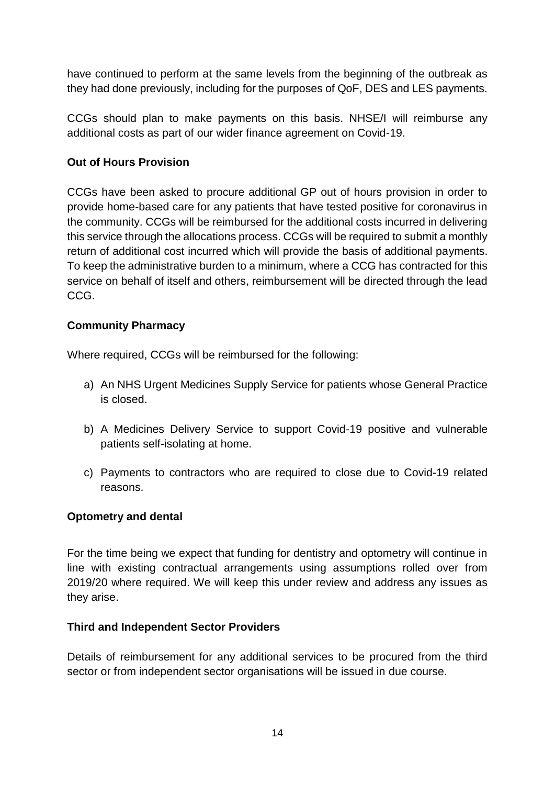have continued to perform at the same levels from the beginning of the outbreak as they had done previously, including for the purposes of QoF, DES and LES payments.

CCGs should plan to make payments on this basis. NHSE/I will reimburse any additional costs as part of our wider finance agreement on Covid-19.

### **Out of Hours Provision**

CCGs have been asked to procure additional GP out of hours provision in order to provide home-based care for any patients that have tested positive for coronavirus in the community. CCGs will be reimbursed for the additional costs incurred in delivering this service through the allocations process. CCGs will be required to submit a monthly return of additional cost incurred which will provide the basis of additional payments. To keep the administrative burden to a minimum, where a CCG has contracted for this service on behalf of itself and others, reimbursement will be directed through the lead CCG.

### **Community Pharmacy**

Where required, CCGs will be reimbursed for the following:

- a) An NHS Urgent Medicines Supply Service for patients whose General Practice is closed.
- b) A Medicines Delivery Service to support Covid-19 positive and vulnerable patients self-isolating at home.
- c) Payments to contractors who are required to close due to Covid-19 related reasons.

### **Optometry and dental**

For the time being we expect that funding for dentistry and optometry will continue in line with existing contractual arrangements using assumptions rolled over from 2019/20 where required. We will keep this under review and address any issues as they arise.

#### **Third and Independent Sector Providers**

Details of reimbursement for any additional services to be procured from the third sector or from independent sector organisations will be issued in due course.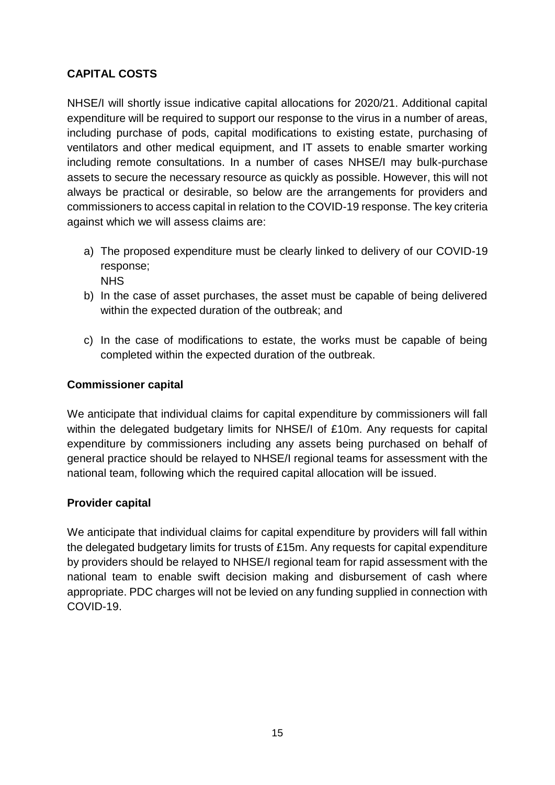# **CAPITAL COSTS**

NHSE/I will shortly issue indicative capital allocations for 2020/21. Additional capital expenditure will be required to support our response to the virus in a number of areas, including purchase of pods, capital modifications to existing estate, purchasing of ventilators and other medical equipment, and IT assets to enable smarter working including remote consultations. In a number of cases NHSE/I may bulk-purchase assets to secure the necessary resource as quickly as possible. However, this will not always be practical or desirable, so below are the arrangements for providers and commissioners to access capital in relation to the COVID-19 response. The key criteria against which we will assess claims are:

- a) The proposed expenditure must be clearly linked to delivery of our COVID-19 response; NHS
- b) In the case of asset purchases, the asset must be capable of being delivered within the expected duration of the outbreak; and
- c) In the case of modifications to estate, the works must be capable of being completed within the expected duration of the outbreak.

#### **Commissioner capital**

We anticipate that individual claims for capital expenditure by commissioners will fall within the delegated budgetary limits for NHSE/I of £10m. Any requests for capital expenditure by commissioners including any assets being purchased on behalf of general practice should be relayed to NHSE/I regional teams for assessment with the national team, following which the required capital allocation will be issued.

### **Provider capital**

We anticipate that individual claims for capital expenditure by providers will fall within the delegated budgetary limits for trusts of £15m. Any requests for capital expenditure by providers should be relayed to NHSE/I regional team for rapid assessment with the national team to enable swift decision making and disbursement of cash where appropriate. PDC charges will not be levied on any funding supplied in connection with COVID-19.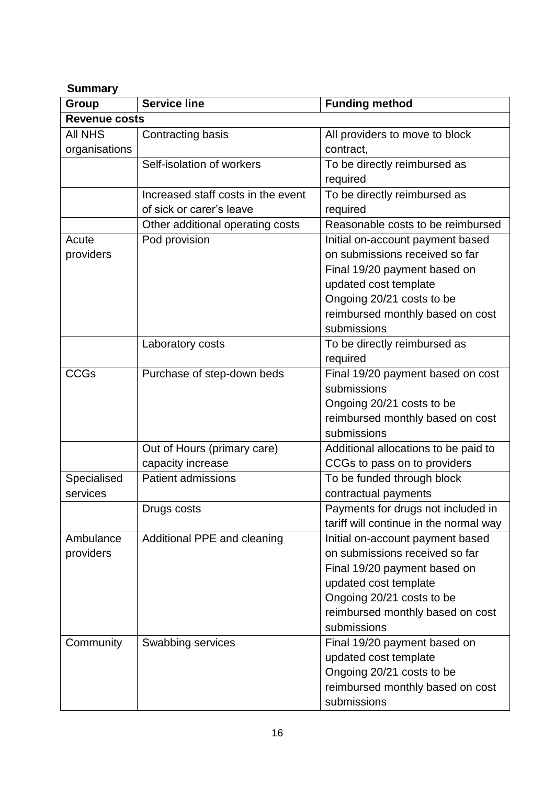### **Summary**

| Group                | <b>Service line</b>                | <b>Funding method</b>                  |  |
|----------------------|------------------------------------|----------------------------------------|--|
| <b>Revenue costs</b> |                                    |                                        |  |
| All NHS              | Contracting basis                  | All providers to move to block         |  |
| organisations        |                                    | contract,                              |  |
|                      | Self-isolation of workers          | To be directly reimbursed as           |  |
|                      |                                    | required                               |  |
|                      | Increased staff costs in the event | To be directly reimbursed as           |  |
|                      | of sick or carer's leave           | required                               |  |
|                      | Other additional operating costs   | Reasonable costs to be reimbursed      |  |
| Acute                | Pod provision                      | Initial on-account payment based       |  |
| providers            |                                    | on submissions received so far         |  |
|                      |                                    | Final 19/20 payment based on           |  |
|                      |                                    | updated cost template                  |  |
|                      |                                    | Ongoing 20/21 costs to be              |  |
|                      |                                    | reimbursed monthly based on cost       |  |
|                      |                                    | submissions                            |  |
|                      | Laboratory costs                   | To be directly reimbursed as           |  |
|                      |                                    | required                               |  |
| <b>CCGs</b>          | Purchase of step-down beds         | Final 19/20 payment based on cost      |  |
|                      |                                    | submissions                            |  |
|                      |                                    | Ongoing 20/21 costs to be              |  |
|                      |                                    | reimbursed monthly based on cost       |  |
|                      |                                    | submissions                            |  |
|                      | Out of Hours (primary care)        | Additional allocations to be paid to   |  |
|                      | capacity increase                  | CCGs to pass on to providers           |  |
| Specialised          | <b>Patient admissions</b>          | To be funded through block             |  |
| services             |                                    | contractual payments                   |  |
|                      | Drugs costs                        | Payments for drugs not included in     |  |
|                      |                                    | tariff will continue in the normal way |  |
| Ambulance            | Additional PPE and cleaning        | Initial on-account payment based       |  |
| providers            |                                    | on submissions received so far         |  |
|                      |                                    | Final 19/20 payment based on           |  |
|                      |                                    | updated cost template                  |  |
|                      |                                    | Ongoing 20/21 costs to be              |  |
|                      |                                    | reimbursed monthly based on cost       |  |
|                      |                                    | submissions                            |  |
| Community            | Swabbing services                  | Final 19/20 payment based on           |  |
|                      |                                    | updated cost template                  |  |
|                      |                                    | Ongoing 20/21 costs to be              |  |
|                      |                                    | reimbursed monthly based on cost       |  |
|                      |                                    | submissions                            |  |